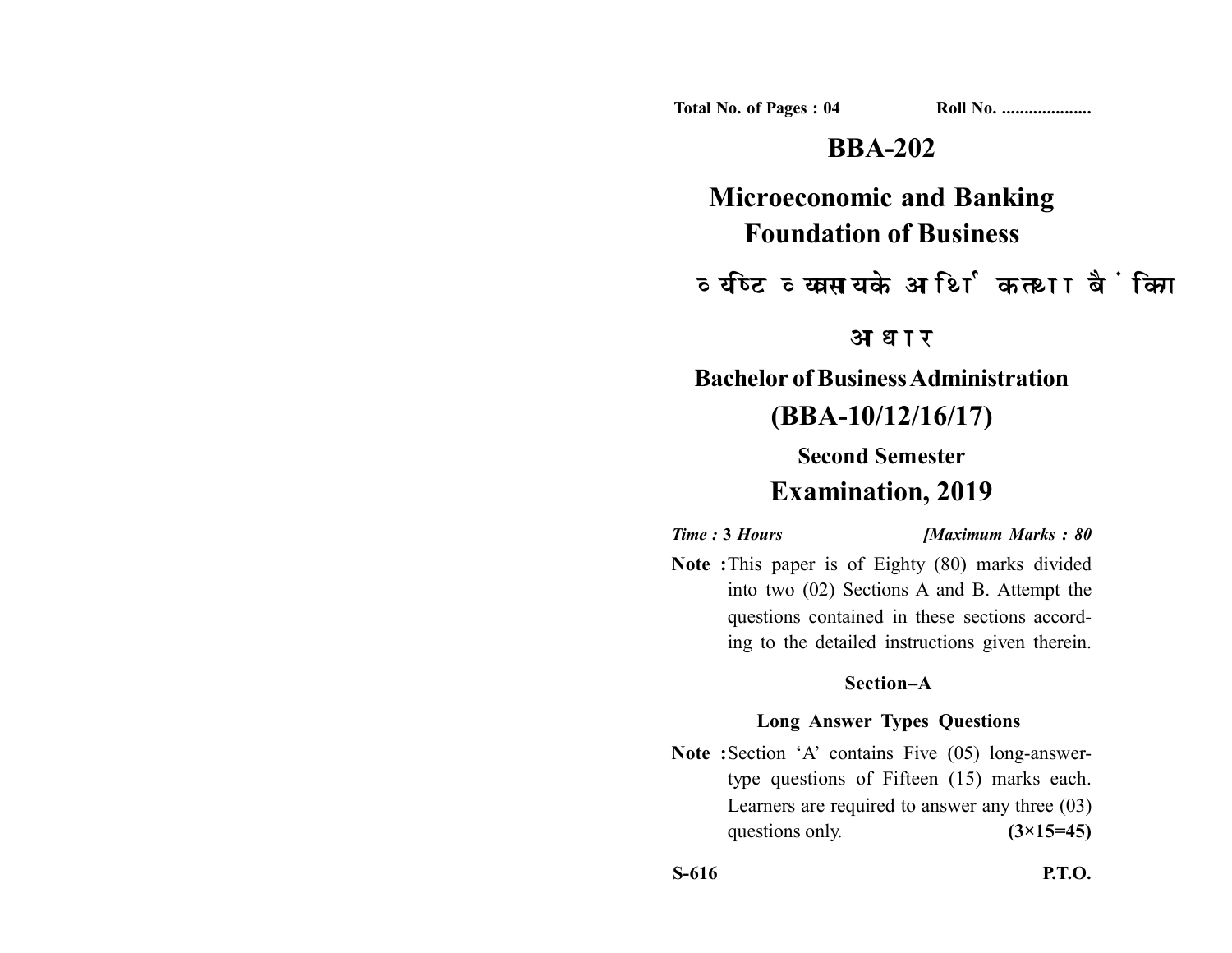**Total No. of Pages : 04 Roll No. ...................** 

# **BBA-202**

**Microeconomic and Banking Foundation of Business**

व्यष्टि व्यवसाय के आर्थिक तथा बैंकिग

आधार

**Bachelor of Business Administration (BBA-10/12/16/17)**

**Second Semester**

# **Examination, 2019**

*Time :* **3** *Hours [Maximum Marks : 80*

**Note :**This paper is of Eighty (80) marks divided into two (02) Sections A and B. Attempt the questions contained in these sections according to the detailed instructions given therein.

## **Section–A**

## **Long Answer Types Questions**

Note : Section 'A' contains Five (05) long-answertype questions of Fifteen (15) marks each. Learners are required to answer any three (03) questions only.  $(3\times15=45)$ 

**S-616 P.T.O.**